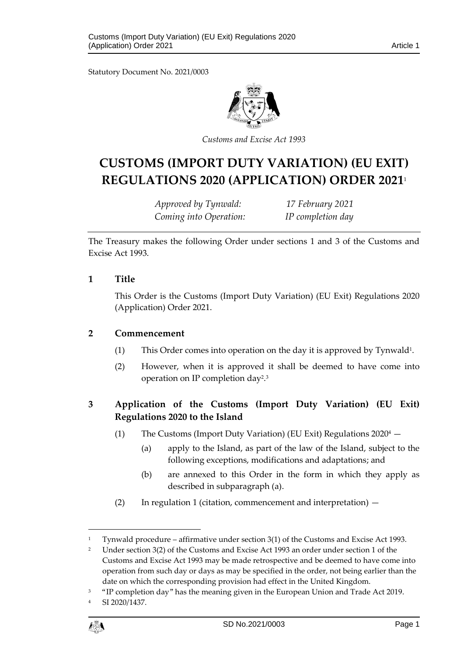Statutory Document No. 2021/0003



*Customs and Excise Act 1993*

# **CUSTOMS (IMPORT DUTY VARIATION) (EU EXIT) REGULATIONS 2020 (APPLICATION) ORDER 2021**<sup>1</sup>

*Approved by Tynwald: 17 February 2021 Coming into Operation: IP completion day*

The Treasury makes the following Order under sections 1 and 3 of the Customs and Excise Act 1993.

#### **1 Title**

This Order is the Customs (Import Duty Variation) (EU Exit) Regulations 2020 (Application) Order 2021.

#### **2 Commencement**

- (1) This Order comes into operation on the day it is approved by Tynwald<sup>1</sup> .
- (2) However, when it is approved it shall be deemed to have come into operation on IP completion day<sup>2</sup>.<sup>3</sup>

## **3 Application of the Customs (Import Duty Variation) (EU Exit) Regulations 2020 to the Island**

- (1) The Customs (Import Duty Variation) (EU Exit) Regulations  $2020^4$ 
	- (a) apply to the Island, as part of the law of the Island, subject to the following exceptions, modifications and adaptations; and
	- (b) are annexed to this Order in the form in which they apply as described in subparagraph (a).
- (2) In regulation 1 (citation, commencement and interpretation) —

SI 2020/1437.



1

<sup>1</sup> Tynwald procedure – affirmative under section 3(1) of the Customs and Excise Act 1993.

<sup>2</sup> Under section 3(2) of the Customs and Excise Act 1993 an order under section 1 of the Customs and Excise Act 1993 may be made retrospective and be deemed to have come into operation from such day or days as may be specified in the order, not being earlier than the date on which the corresponding provision had effect in the United Kingdom.

<sup>3</sup> "IP completion day" has the meaning given in the European Union and Trade Act 2019.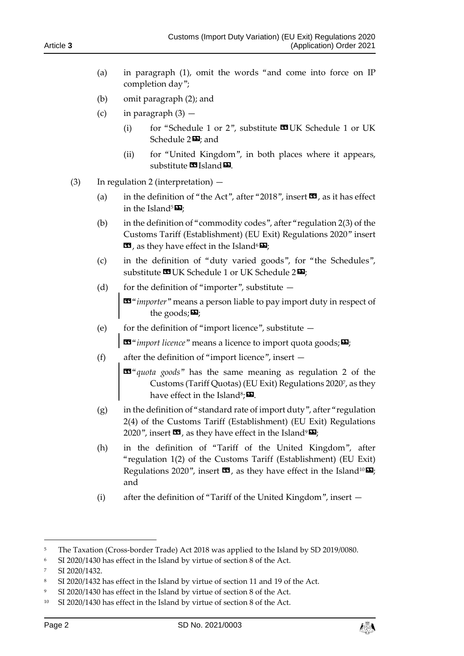- (a) in paragraph (1), omit the words "and come into force on IP completion day";
- (b) omit paragraph (2); and
- (c) in paragraph  $(3)$ 
	- (i) for "Schedule 1 or 2", substitute  $\mathbf{C}$ UK Schedule 1 or UK Schedule 2<sup>D</sup>, and
	- (ii) for "United Kingdom", in both places where it appears, substitute **II** Island **E**.
- (3) In regulation 2 (interpretation)
	- (a) in the definition of "the Act", after "2018", insert  $\mathbf{w}$ , as it has effect in the Island<sup>5</sup> $\mathbf{E}$ ;
	- (b) in the definition of "commodity codes", after "regulation 2(3) of the Customs Tariff (Establishment) (EU Exit) Regulations 2020" insert  $\mathbf{G}$ , as they have effect in the Island<sup>6</sup> $\mathbf{E}$ ;
	- (c) in the definition of "duty varied goods", for "the Schedules", substitute **II** UK Schedule 1 or UK Schedule 2<sup>D</sup>;
	- (d) for the definition of "importer", substitute  $-$

«"*importer*" means a person liable to pay import duty in respect of the goods; $\mathbf{E}$ ;

(e) for the definition of "import licence", substitute  $-$ 

 $\mathbf{E}^{\mathbf{a}}$  "*import licence*" means a licence to import quota goods;  $\mathbf{E}$ 

(f) after the definition of "import licence", insert  $-$ 

«"*quota goods*" has the same meaning as regulation 2 of the Customs (Tariff Quotas) (EU Exit) Regulations 2020<sup>7</sup> , as they have effect in the Island $^{\rm 8}$ ; $\blacksquare$ .

- (g) in the definition of "standard rate of import duty", after "regulation 2(4) of the Customs Tariff (Establishment) (EU Exit) Regulations 2020", insert  $\mathbf{\mathcal{Z}}$ , as they have effect in the Island<sup>9</sup> $\mathbf{\mathcal{Z}}$ ;
- (h) in the definition of "Tariff of the United Kingdom", after "regulation 1(2) of the Customs Tariff (Establishment) (EU Exit) Regulations 2020", insert  $\mathbf{\Omega}$ , as they have effect in the Island<sup>10</sup> $\mathbf{\Sigma}$ ; and
- (i) after the definition of "Tariff of the United Kingdom", insert —

-



<sup>&</sup>lt;sup>5</sup> The Taxation (Cross-border Trade) Act 2018 was applied to the Island by SD 2019/0080.

<sup>6</sup> SI 2020/1430 has effect in the Island by virtue of section 8 of the Act.

<sup>7</sup> SI 2020/1432.

<sup>&</sup>lt;sup>8</sup> SI 2020/1432 has effect in the Island by virtue of section 11 and 19 of the Act.

<sup>9</sup> SI 2020/1430 has effect in the Island by virtue of section 8 of the Act.

<sup>&</sup>lt;sup>10</sup> SI 2020/1430 has effect in the Island by virtue of section 8 of the Act.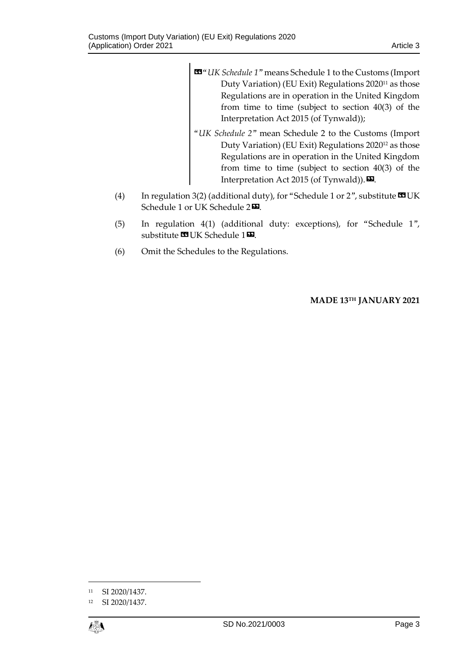- «"*UK Schedule 1*" means Schedule 1 to the Customs (Import Duty Variation) (EU Exit) Regulations 2020<sup>11</sup> as those Regulations are in operation in the United Kingdom from time to time (subject to section 40(3) of the Interpretation Act 2015 (of Tynwald));
- "*UK Schedule 2*" mean Schedule 2 to the Customs (Import Duty Variation) (EU Exit) Regulations 2020<sup>12</sup> as those Regulations are in operation in the United Kingdom from time to time (subject to section 40(3) of the Interpretation Act 2015 (of Tynwald)).  $\mathbf{E}$ .
- (4) In regulation 3(2) (additional duty), for "Schedule 1 or 2", substitute  $\blacksquare$  UK Schedule 1 or UK Schedule 2 $\mathbf{\Sigma}$ .
- (5) In regulation 4(1) (additional duty: exceptions), for "Schedule 1", substitute **UK Schedule 1** $**D**$ **.**
- (6) Omit the Schedules to the Regulations.

**MADE 13TH JANUARY 2021**

<sup>12</sup> SI 2020/1437.



1

<sup>11</sup> SI 2020/1437.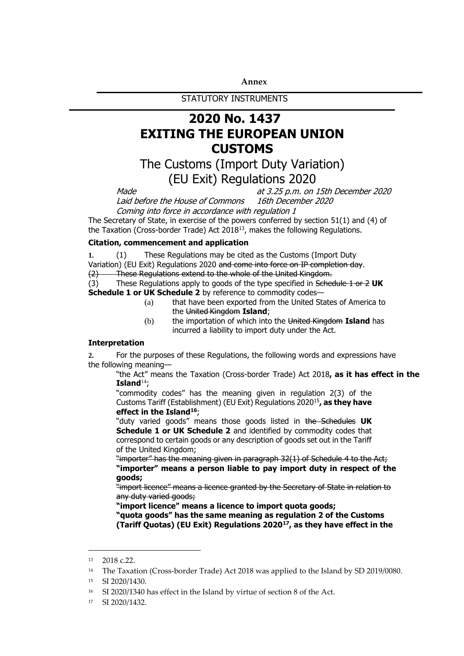#### **Annex**

STATUTORY INSTRUMENTS

# **2020 No. 1437 EXITING THE EUROPEAN UNION CUSTOMS**

# The Customs (Import Duty Variation) (EU Exit) Regulations 2020

Made Made at 3.25 p.m. on 15th December 2020<br>Laid before the House of Commons 16th December 2020 Laid before the House of Commons Coming into force in accordance with regulation 1

The Secretary of State, in exercise of the powers conferred by section 51(1) and (4) of the Taxation (Cross-border Trade) Act 2018<sup>13</sup>, makes the following Regulations.

#### **Citation, commencement and application**

**1.** (1) These Regulations may be cited as the Customs (Import Duty Variation) (EU Exit) Regulations 2020 and come into force on IP completion day.

(2) These Regulations extend to the whole of the United Kingdom.

(3) These Regulations apply to goods of the type specified in Schedule 1 or 2 **UK Schedule 1 or UK Schedule 2** by reference to commodity codes—

- (a) that have been exported from the United States of America to the United Kingdom **Island**;
- (b) the importation of which into the United Kingdom **Island** has incurred a liability to import duty under the Act.

#### **Interpretation**

**2.** For the purposes of these Regulations, the following words and expressions have the following meaning—

"the Act" means the Taxation (Cross-border Trade) Act 2018**, as it has effect in the Island**<sup>14</sup>;

"commodity codes" has the meaning given in regulation 2(3) of the Customs Tariff (Establishment) (EU Exit) Regulations 2020<sup>15</sup>**, as they have effect in the Island<sup>16</sup>**;

"duty varied goods" means those goods listed in the Schedules **UK Schedule 1 or UK Schedule 2** and identified by commodity codes that correspond to certain goods or any description of goods set out in the Tariff of the United Kingdom;

"importer" has the meaning given in paragraph 32(1) of Schedule 4 to the Act; **"importer" means a person liable to pay import duty in respect of the goods;**

"import licence" means a licence granted by the Secretary of State in relation to any duty varied goods;

**"import licence" means a licence to import quota goods;**

**"quota goods" has the same meaning as regulation 2 of the Customs (Tariff Quotas) (EU Exit) Regulations 2020<sup>17</sup>, as they have effect in the** 

1

<sup>13</sup> 2018 c.22.

<sup>&</sup>lt;sup>14</sup> The Taxation (Cross-border Trade) Act 2018 was applied to the Island by SD 2019/0080.

<sup>15</sup> SI 2020/1430.

<sup>16</sup> SI 2020/1340 has effect in the Island by virtue of section 8 of the Act.

<sup>17</sup> SI 2020/1432.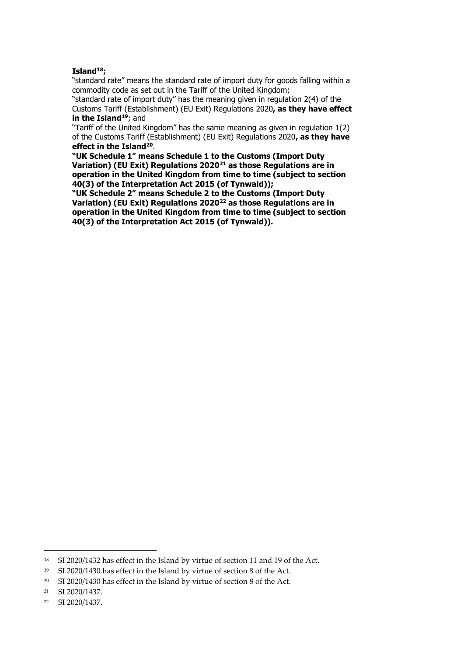#### **Island<sup>18</sup>;**

"standard rate" means the standard rate of import duty for goods falling within a commodity code as set out in the Tariff of the United Kingdom;

"standard rate of import duty" has the meaning given in regulation 2(4) of the Customs Tariff (Establishment) (EU Exit) Regulations 2020**, as they have effect in the Island<sup>19</sup>**; and

"Tariff of the United Kingdom" has the same meaning as given in regulation 1(2) of the Customs Tariff (Establishment) (EU Exit) Regulations 2020**, as they have effect in the Island<sup>20</sup>** .

**"UK Schedule 1" means Schedule 1 to the Customs (Import Duty Variation) (EU Exit) Regulations 2020<sup>21</sup> as those Regulations are in operation in the United Kingdom from time to time (subject to section 40(3) of the Interpretation Act 2015 (of Tynwald));**

**"UK Schedule 2" means Schedule 2 to the Customs (Import Duty Variation) (EU Exit) Regulations 2020<sup>22</sup> as those Regulations are in operation in the United Kingdom from time to time (subject to section 40(3) of the Interpretation Act 2015 (of Tynwald)).**

-

<sup>18</sup> SI 2020/1432 has effect in the Island by virtue of section 11 and 19 of the Act.

<sup>19</sup> SI 2020/1430 has effect in the Island by virtue of section 8 of the Act.

<sup>&</sup>lt;sup>20</sup> SI 2020/1430 has effect in the Island by virtue of section 8 of the Act.

<sup>21</sup> SI 2020/1437.

<sup>22</sup> SI 2020/1437.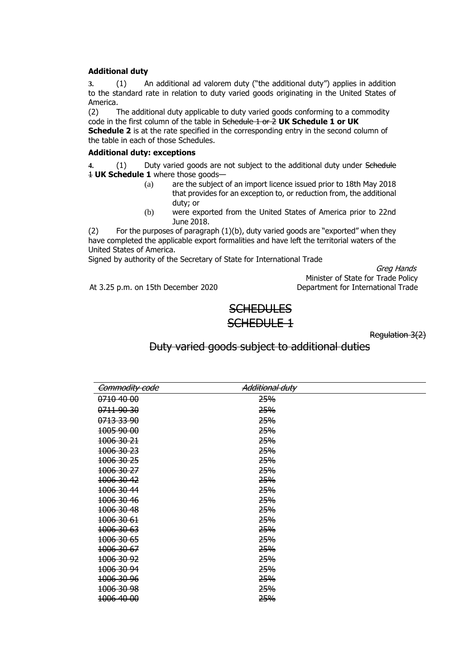#### **Additional duty**

**3.** (1) An additional ad valorem duty ("the additional duty") applies in addition to the standard rate in relation to duty varied goods originating in the United States of America.

(2) The additional duty applicable to duty varied goods conforming to a commodity code in the first column of the table in Schedule 1 or 2 **UK Schedule 1 or UK** 

**Schedule 2** is at the rate specified in the corresponding entry in the second column of the table in each of those Schedules.

#### **Additional duty: exceptions**

**4.** (1) Duty varied goods are not subject to the additional duty under Schedule 1 **UK Schedule 1** where those goods—

- (a) are the subject of an import licence issued prior to 18th May 2018 that provides for an exception to, or reduction from, the additional duty; or
- (b) were exported from the United States of America prior to 22nd June 2018.

(2) For the purposes of paragraph  $(1)(b)$ , duty varied goods are "exported" when they have completed the applicable export formalities and have left the territorial waters of the United States of America.

Signed by authority of the Secretary of State for International Trade

Greg Hands Minister of State for Trade Policy At 3.25 p.m. on 15th December 2020 Department for International Trade

## **SCHEDULES** SCHEDULE 1

Regulation 3(2)

## Duty varied goods subject to additional duties

| Commodity code        | Additional duty |  |
|-----------------------|-----------------|--|
| 0710 40 00            | 25%             |  |
| 0711 90 30            | 25%             |  |
| 0713 33 90            | 25%             |  |
| 1005 90 00            | 25%             |  |
| 1006 30 21            | <b>25%</b>      |  |
| 1006 30 23            | 25%             |  |
| 1006 30 25            | 25%             |  |
| 1006 30 27            | 25%             |  |
| 1006 30 42            | <b>25%</b>      |  |
| 1006 30 44            | <b>25%</b>      |  |
| 1006 30 46            | 25%             |  |
| 1006 30 48            | 25%             |  |
| <del>1006 30 61</del> | 25%             |  |
| 1006 30 63            | 25%             |  |
| <del>1006 30 65</del> | 25%             |  |
| <del>1006 30 67</del> | 25%             |  |
| <del>1006 30 92</del> | 25%             |  |
| 1006 30 94            | 25%             |  |
| <del>1006 30 96</del> | <b>25%</b>      |  |
| 1006 30 98            | 25%             |  |
| 1006 40 00            | 25%             |  |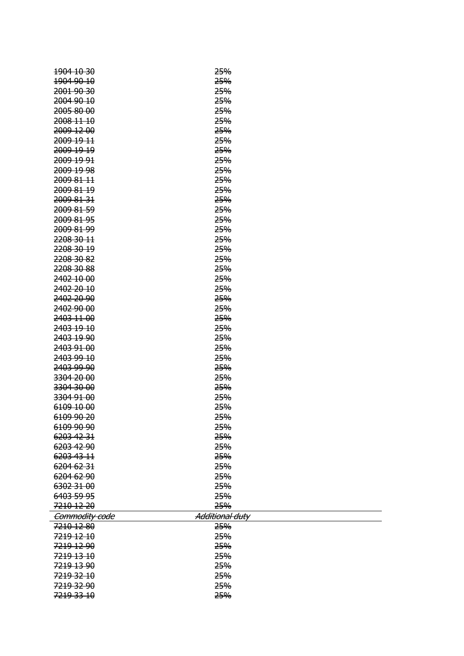| 1904 10 30     | 25%                    |
|----------------|------------------------|
| 1904 90 10     | 25%                    |
| 2001 90 30     | 25%                    |
| 2004 90 10     | 25%                    |
| 2005 80 00     | 25%                    |
|                |                        |
| 2008 11 10     | 25%                    |
| 2009 12 00     | 25%                    |
| 2009 19 11     | 25%                    |
| 2009 19 19     | 25%                    |
| 2009 19 91     | 25%                    |
| 2009 19 98     | 25%                    |
| 2009 81 11     | 25%                    |
| 2009 81 19     | 25%                    |
| 2009 81 31     | 25%                    |
| 2009 81 59     | 25%                    |
| 2009 81 95     | 25%                    |
| 2009 81 99     | 25%                    |
| 2208 30 11     | 25%                    |
| 2208 30 19     | 25%                    |
| 2208 30 82     | 25%                    |
| 2208 30 88     | 25%                    |
| 2402 10 00     | 25%                    |
| 2402 20 10     | 25%                    |
| 2402 20 90     | 25%                    |
| 2402 90 00     | 25%                    |
| 2403 11 00     | 25%                    |
| 2403 19 10     | 25%                    |
| 2403 19 90     | 25%                    |
| 2403 91 00     | 25%                    |
| 2403 99 10     | 25%                    |
| 2403 99 90     | 25%                    |
| 3304 20 00     | 25%                    |
| 3304 30 00     | 25%                    |
| 3304 91 00     | 25%                    |
| 6109 10 00     | 25%                    |
| 6109 90 20     | 25%                    |
| 6109 90 90     | 25%                    |
| 6203 42 31     | 25%                    |
| 6203 42 90     | 25%                    |
| 6203 43 11     | 25%                    |
| 6204 62 31     | 25%                    |
| 6204 62 90     | 25%                    |
| 6302 31 00     | 25%                    |
|                | 25%                    |
| 6403 59 95     | 25%                    |
| 7210 12 20     |                        |
| Commodity code | <b>Additional duty</b> |
| 7210 12 80     | 25%                    |
| 7219 12 10     | 25%                    |
| 7219 12 90     | 25%                    |
| 7219 13 10     | 25%                    |
| 7219 13 90     | 25%                    |
| 7219 32 10     | 25%                    |
| 7219 32 90     | 25%                    |
| 7219 33 10     | 25%                    |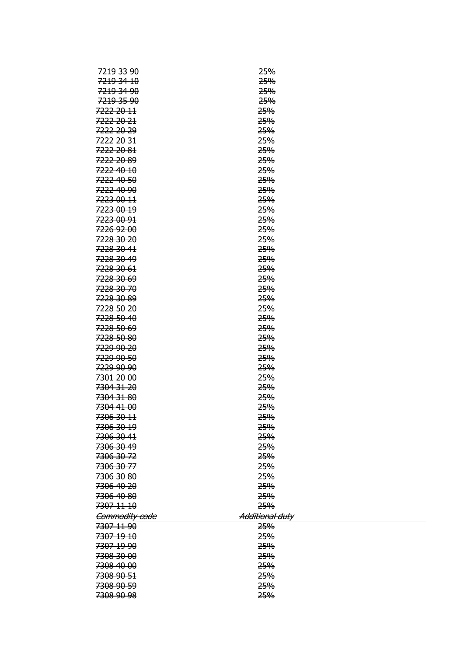| <del>7219 33 90</del> | <del>25%</del>  |
|-----------------------|-----------------|
| 7219 34 10            | 25%             |
| 7219 34 90            | 25%             |
| 7219 35 90            | 25%             |
| 7222 20 11            | 25%             |
| 7222 20 21            | 25%             |
| 7222 20 29            | 25%             |
| 7222 20 31            | 25%             |
| 7222 20 81            | 25%             |
| 7222 20 89            | 25%             |
| 7222 40 10            | 25%             |
| 7222 40 50            | 25%             |
| 7222 40 90            | 25%             |
| 7223 00 11            | 25%             |
| 7223 00 19            | 25%             |
| 7223 00 91            | 25%             |
| 7226 92 00            | 25%             |
| 7228 30 20            | 25%             |
| 7228 30 41            | 25%             |
| 7228 30 49            | 25%             |
| 7228 30 61            | 25%             |
| 7228 30 69            | 25%             |
| 7228 30 70            | 25%             |
| 7228 30 89            | 25%             |
| 7228 50 20            | 25%             |
|                       |                 |
| 7228 50 40            | 25%             |
| 7228 50 69            | 25%             |
| 7228 50 80            | 25%             |
| 7229 90 20            | 25%             |
| 7229 90 50            | 25%             |
| 7229 90 90            | 25%             |
| 7301 20 00            | 25%             |
| 7304 31 20            | 25%             |
| 7304 31 80            | 25%             |
| 7304 41 00            | 25%             |
| 7306 30 11            | 25%             |
| 7306 30 19            | <b>25%</b>      |
| 7306 30 41            | 25%             |
| 7306 30 49            | 25%             |
| 7306 30 72            | 25%             |
| 7306 30 77            | 25%             |
| 7306 30 80            | 25%             |
| 7306 40 20            | 25%             |
| 7306 40 80            | 25%             |
| 7307 11 10            | 25%             |
| Commodity code        | Additional duty |
| 7307 11 90            | 25%             |
| 7307 19 10            | 25%             |
| 7307 19 90            | 25%             |
| 7308 30 00            | 25%             |
| 7308 40 00            | 25%             |
| 7308 90 51            | 25%             |
| 7308 90 59            | 25%             |
| 7308 90 98            | 25%             |
|                       |                 |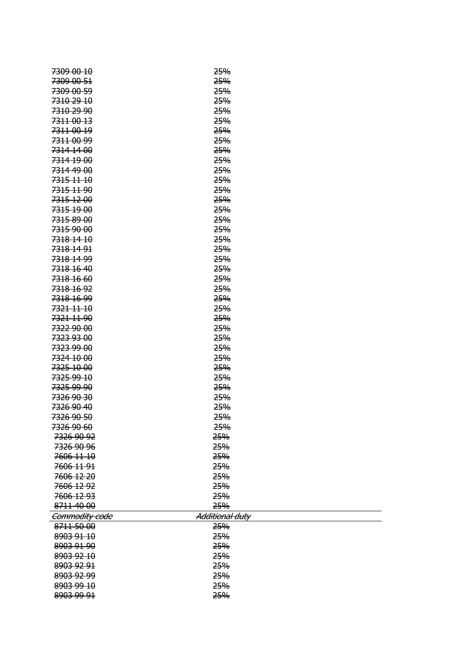| <del>7309 00 10</del> | <b>25%</b>             |
|-----------------------|------------------------|
| 7309 00 51            | 25%                    |
| 7309 00 59            | 25%                    |
| 7310 29 10            | 25%                    |
| 7310 29 90            | 25%                    |
| 7311 00 13            | 25%                    |
| 7311-00-19            | 25%                    |
| 7311 00 99            | <b>25%</b>             |
| 7314 14 00            | 25%                    |
| 7314 19 00            | 25%                    |
| 7314 49 00            | 25%                    |
| 7315 11 10            | 25%                    |
| 7315 11 90            | 25%                    |
| 7315 12 00            | 25%                    |
| 7315 19 00            | 25%                    |
| 7315 89 00            | 25%                    |
| 7315 90 00            | 25%                    |
| 7318 14 10            | 25%                    |
| 7318 14 91            | 25%                    |
| 7318 14 99            | 25%                    |
| 7318 16 40            | 25%                    |
| 7318 16 60            | 25%                    |
| 7318 16 92            | 25%                    |
| 7318 16 99            | 25%                    |
| 7321 11 10            | 25%                    |
| 7321 11 90            | 25%                    |
| 7322 90 00            | 25%                    |
| 7323 93 00            | 25%                    |
| 7323 99 00            | 25%                    |
| 7324 10 00            | 25%                    |
| 7325 10 00            | 25%                    |
| 7325 99 10            | 25%                    |
| <del>7325 99 90</del> | 25%                    |
| 7326 90 30            | 25%                    |
| 7326 90 40            | <b>25%</b>             |
| 7326 90 50            | <b>25%</b>             |
| 7326 90 60            | 25%                    |
| 7326 90 92            | 25%                    |
| 7326 90 96            | 25%                    |
| 7606 11 10            | 25%                    |
| 7606 11 91            | 25%                    |
| 7606 12 20            | 25%                    |
| 7606 12 92            | 25%                    |
| 7606 12 93            | 25%                    |
| 8711 40 00            | 25%                    |
| Commodity code        | <b>Additional duty</b> |
| 8711 50 00            | 25%                    |
| 8903 91 10            | 25%                    |
| 8903 91 90            | 25%                    |
| 8903 92 10            | 25%                    |
| 8903 92 91            | 25%                    |
| 8903 92 99            | 25%                    |
| 8903 99 10            | 25%                    |
| 8903 99 91            | 25%                    |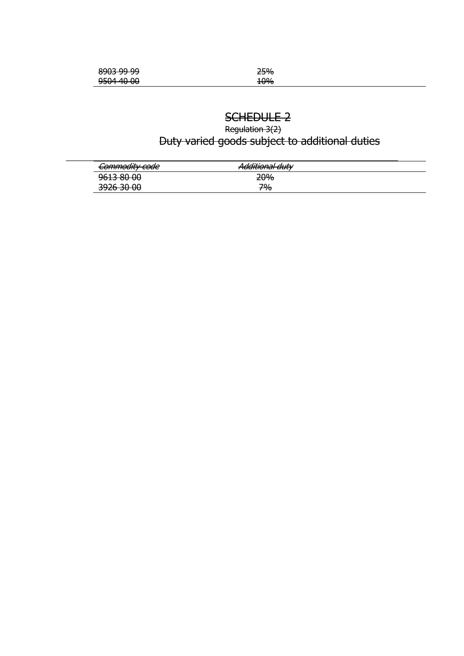| <u>onne na na</u><br><del>,,,,,,,,,,,,,</del> | 25% |
|-----------------------------------------------|-----|
| $0.504$ $40.00$<br><del>טט טוי דטככ</del>     | 10% |

# SCHEDULE 2

Regulation 3(2) Duty varied goods subject to additional duties

| Commodity code                      | dditional duty<br><del>Additional duty</del> |  |
|-------------------------------------|----------------------------------------------|--|
| 0612.80.00<br><del>7013 00 00</del> | <b>20%</b>                                   |  |
| חח חד גרסד<br><del>טט טכ טבלכ</del> | 70/-<br>- 70                                 |  |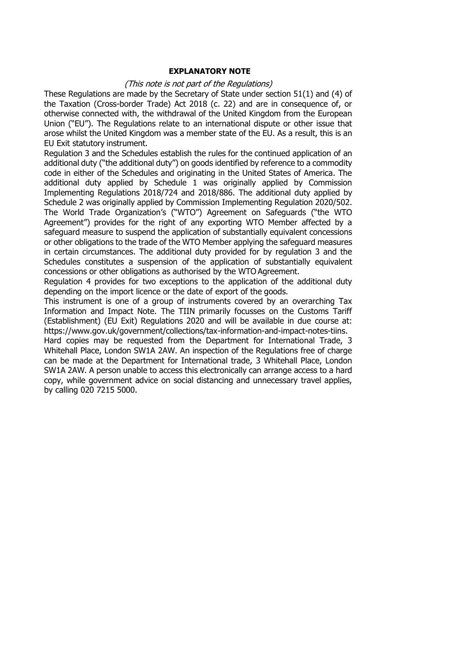#### **EXPLANATORY NOTE**

#### (This note is not part of the Regulations)

These Regulations are made by the Secretary of State under section 51(1) and (4) of the Taxation (Cross-border Trade) Act 2018 (c. 22) and are in consequence of, or otherwise connected with, the withdrawal of the United Kingdom from the European Union ("EU"). The Regulations relate to an international dispute or other issue that arose whilst the United Kingdom was a member state of the EU. As a result, this is an EU Exit statutory instrument.

Regulation 3 and the Schedules establish the rules for the continued application of an additional duty ("the additional duty") on goods identified by reference to a commodity code in either of the Schedules and originating in the United States of America. The additional duty applied by Schedule 1 was originally applied by Commission Implementing Regulations 2018/724 and 2018/886. The additional duty applied by Schedule 2 was originally applied by Commission Implementing Regulation 2020/502. The World Trade Organization's ("WTO") Agreement on Safeguards ("the WTO Agreement") provides for the right of any exporting WTO Member affected by a safeguard measure to suspend the application of substantially equivalent concessions or other obligations to the trade of the WTO Member applying the safeguard measures in certain circumstances. The additional duty provided for by regulation 3 and the Schedules constitutes a suspension of the application of substantially equivalent concessions or other obligations as authorised by the WTO Agreement.

Regulation 4 provides for two exceptions to the application of the additional duty depending on the import licence or the date of export of the goods.

This instrument is one of a group of instruments covered by an overarching Tax Information and Impact Note. The TIIN primarily focusses on the Customs Tariff (Establishment) (EU Exit) Regulations 2020 and will be available in due course at: https:/[/www.gov.uk/government/collections/tax-information-and-impact-notes-tiins.](http://www.gov.uk/government/collections/tax-information-and-impact-notes-tiins)

Hard copies may be requested from the Department for International Trade, 3 Whitehall Place, London SW1A 2AW. An inspection of the Regulations free of charge can be made at the Department for International trade, 3 Whitehall Place, London SW1A 2AW. A person unable to access this electronically can arrange access to a hard copy, while government advice on social distancing and unnecessary travel applies, by calling 020 7215 5000.